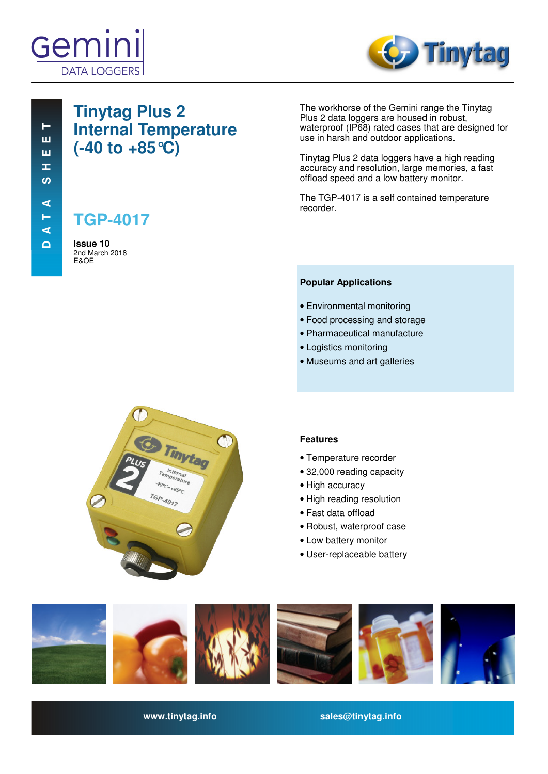



# **Tinytag Plus 2 Internal Temperature (-40 to +85°C)**

**TGP-4017**

**Issue 10**  2nd March 2018 E&OE

The workhorse of the Gemini range the Tinytag Plus 2 data loggers are housed in robust, waterproof (IP68) rated cases that are designed for use in harsh and outdoor applications.

Tinytag Plus 2 data loggers have a high reading accuracy and resolution, large memories, a fast offload speed and a low battery monitor.

The TGP-4017 is a self contained temperature recorder.

## **Popular Applications**

- Environmental monitoring
- Food processing and storage
- Pharmaceutical manufacture
- Logistics monitoring
- Museums and art galleries



## **Features**

- Temperature recorder
- 32,000 reading capacity
- High accuracy
- High reading resolution
- Fast data offload
- Robust, waterproof case
- Low battery monitor
- User-replaceable battery



**www.tinytag.info sales@tinytag.info**